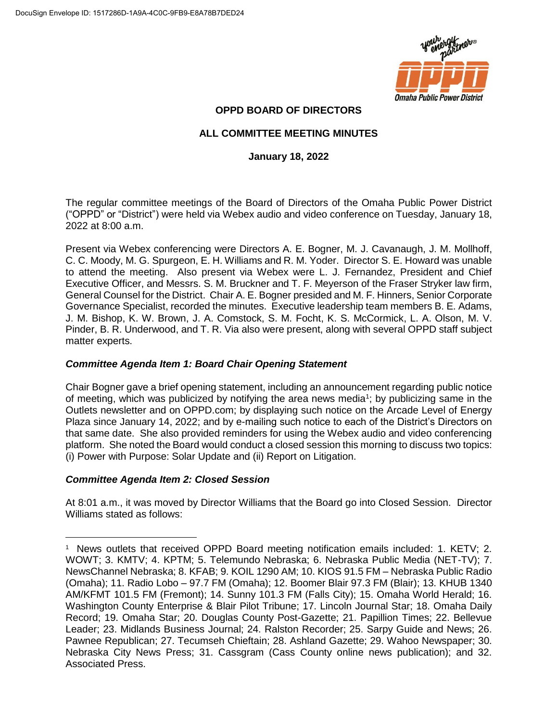

# **OPPD BOARD OF DIRECTORS**

# **ALL COMMITTEE MEETING MINUTES**

# **January 18, 2022**

The regular committee meetings of the Board of Directors of the Omaha Public Power District ("OPPD" or "District") were held via Webex audio and video conference on Tuesday, January 18, 2022 at 8:00 a.m.

Present via Webex conferencing were Directors A. E. Bogner, M. J. Cavanaugh, J. M. Mollhoff, C. C. Moody, M. G. Spurgeon, E. H. Williams and R. M. Yoder. Director S. E. Howard was unable to attend the meeting. Also present via Webex were L. J. Fernandez, President and Chief Executive Officer, and Messrs. S. M. Bruckner and T. F. Meyerson of the Fraser Stryker law firm, General Counsel for the District. Chair A. E. Bogner presided and M. F. Hinners, Senior Corporate Governance Specialist, recorded the minutes. Executive leadership team members B. E. Adams, J. M. Bishop, K. W. Brown, J. A. Comstock, S. M. Focht, K. S. McCormick, L. A. Olson, M. V. Pinder, B. R. Underwood, and T. R. Via also were present, along with several OPPD staff subject matter experts.

# *Committee Agenda Item 1: Board Chair Opening Statement*

Chair Bogner gave a brief opening statement, including an announcement regarding public notice of meeting, which was publicized by notifying the area news media<sup>1</sup>; by publicizing same in the Outlets newsletter and on OPPD.com; by displaying such notice on the Arcade Level of Energy Plaza since January 14, 2022; and by e-mailing such notice to each of the District's Directors on that same date. She also provided reminders for using the Webex audio and video conferencing platform. She noted the Board would conduct a closed session this morning to discuss two topics: (i) Power with Purpose: Solar Update and (ii) Report on Litigation.

# *Committee Agenda Item 2: Closed Session*

 $\overline{a}$ 

At 8:01 a.m., it was moved by Director Williams that the Board go into Closed Session. Director Williams stated as follows:

<sup>&</sup>lt;sup>1</sup> News outlets that received OPPD Board meeting notification emails included: 1. KETV; 2. WOWT; 3. KMTV; 4. KPTM; 5. Telemundo Nebraska; 6. Nebraska Public Media (NET-TV); 7. NewsChannel Nebraska; 8. KFAB; 9. KOIL 1290 AM; 10. KIOS 91.5 FM – Nebraska Public Radio (Omaha); 11. Radio Lobo – 97.7 FM (Omaha); 12. Boomer Blair 97.3 FM (Blair); 13. KHUB 1340 AM/KFMT 101.5 FM (Fremont); 14. Sunny 101.3 FM (Falls City); 15. Omaha World Herald; 16. Washington County Enterprise & Blair Pilot Tribune; 17. Lincoln Journal Star; 18. Omaha Daily Record; 19. Omaha Star; 20. Douglas County Post-Gazette; 21. Papillion Times; 22. Bellevue Leader; 23. Midlands Business Journal; 24. Ralston Recorder; 25. Sarpy Guide and News; 26. Pawnee Republican; 27. Tecumseh Chieftain; 28. Ashland Gazette; 29. Wahoo Newspaper; 30. Nebraska City News Press; 31. Cassgram (Cass County online news publication); and 32. Associated Press.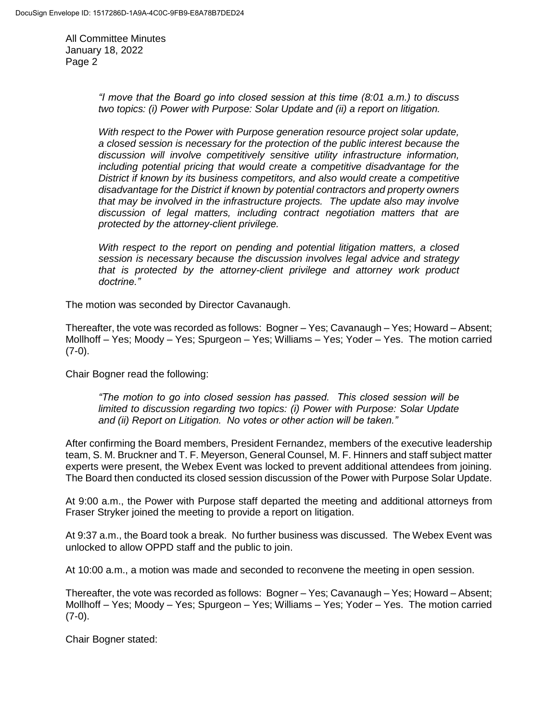> *"I move that the Board go into closed session at this time (8:01 a.m.) to discuss two topics: (i) Power with Purpose: Solar Update and (ii) a report on litigation.*

> *With respect to the Power with Purpose generation resource project solar update, a closed session is necessary for the protection of the public interest because the discussion will involve competitively sensitive utility infrastructure information, including potential pricing that would create a competitive disadvantage for the District if known by its business competitors, and also would create a competitive disadvantage for the District if known by potential contractors and property owners that may be involved in the infrastructure projects. The update also may involve discussion of legal matters, including contract negotiation matters that are protected by the attorney-client privilege.*

> *With respect to the report on pending and potential litigation matters, a closed session is necessary because the discussion involves legal advice and strategy that is protected by the attorney-client privilege and attorney work product doctrine."*

The motion was seconded by Director Cavanaugh.

Thereafter, the vote was recorded as follows: Bogner – Yes; Cavanaugh – Yes; Howard – Absent; Mollhoff – Yes; Moody – Yes; Spurgeon – Yes; Williams – Yes; Yoder – Yes. The motion carried  $(7-0)$ .

Chair Bogner read the following:

*"The motion to go into closed session has passed. This closed session will be limited to discussion regarding two topics: (i) Power with Purpose: Solar Update and (ii) Report on Litigation. No votes or other action will be taken."*

After confirming the Board members, President Fernandez, members of the executive leadership team, S. M. Bruckner and T. F. Meyerson, General Counsel, M. F. Hinners and staff subject matter experts were present, the Webex Event was locked to prevent additional attendees from joining. The Board then conducted its closed session discussion of the Power with Purpose Solar Update.

At 9:00 a.m., the Power with Purpose staff departed the meeting and additional attorneys from Fraser Stryker joined the meeting to provide a report on litigation.

At 9:37 a.m., the Board took a break. No further business was discussed. The Webex Event was unlocked to allow OPPD staff and the public to join.

At 10:00 a.m., a motion was made and seconded to reconvene the meeting in open session.

Thereafter, the vote was recorded as follows: Bogner – Yes; Cavanaugh – Yes; Howard – Absent; Mollhoff – Yes; Moody – Yes; Spurgeon – Yes; Williams – Yes; Yoder – Yes. The motion carried  $(7-0)$ .

Chair Bogner stated: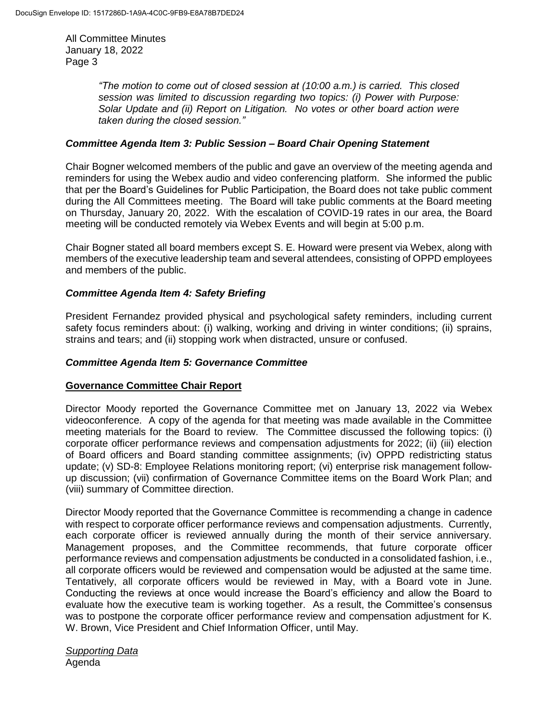> *"The motion to come out of closed session at (10:00 a.m.) is carried. This closed session was limited to discussion regarding two topics: (i) Power with Purpose: Solar Update and (ii) Report on Litigation. No votes or other board action were taken during the closed session."*

### *Committee Agenda Item 3: Public Session – Board Chair Opening Statement*

Chair Bogner welcomed members of the public and gave an overview of the meeting agenda and reminders for using the Webex audio and video conferencing platform. She informed the public that per the Board's Guidelines for Public Participation, the Board does not take public comment during the All Committees meeting. The Board will take public comments at the Board meeting on Thursday, January 20, 2022. With the escalation of COVID-19 rates in our area, the Board meeting will be conducted remotely via Webex Events and will begin at 5:00 p.m.

Chair Bogner stated all board members except S. E. Howard were present via Webex, along with members of the executive leadership team and several attendees, consisting of OPPD employees and members of the public.

### *Committee Agenda Item 4: Safety Briefing*

President Fernandez provided physical and psychological safety reminders, including current safety focus reminders about: (i) walking, working and driving in winter conditions; (ii) sprains, strains and tears; and (ii) stopping work when distracted, unsure or confused.

#### *Committee Agenda Item 5: Governance Committee*

#### **Governance Committee Chair Report**

Director Moody reported the Governance Committee met on January 13, 2022 via Webex videoconference. A copy of the agenda for that meeting was made available in the Committee meeting materials for the Board to review. The Committee discussed the following topics: (i) corporate officer performance reviews and compensation adjustments for 2022; (ii) (iii) election of Board officers and Board standing committee assignments; (iv) OPPD redistricting status update; (v) SD-8: Employee Relations monitoring report; (vi) enterprise risk management followup discussion; (vii) confirmation of Governance Committee items on the Board Work Plan; and (viii) summary of Committee direction.

Director Moody reported that the Governance Committee is recommending a change in cadence with respect to corporate officer performance reviews and compensation adjustments. Currently, each corporate officer is reviewed annually during the month of their service anniversary. Management proposes, and the Committee recommends, that future corporate officer performance reviews and compensation adjustments be conducted in a consolidated fashion, i.e., all corporate officers would be reviewed and compensation would be adjusted at the same time. Tentatively, all corporate officers would be reviewed in May, with a Board vote in June. Conducting the reviews at once would increase the Board's efficiency and allow the Board to evaluate how the executive team is working together. As a result, the Committee's consensus was to postpone the corporate officer performance review and compensation adjustment for K. W. Brown, Vice President and Chief Information Officer, until May.

*Supporting Data* Agenda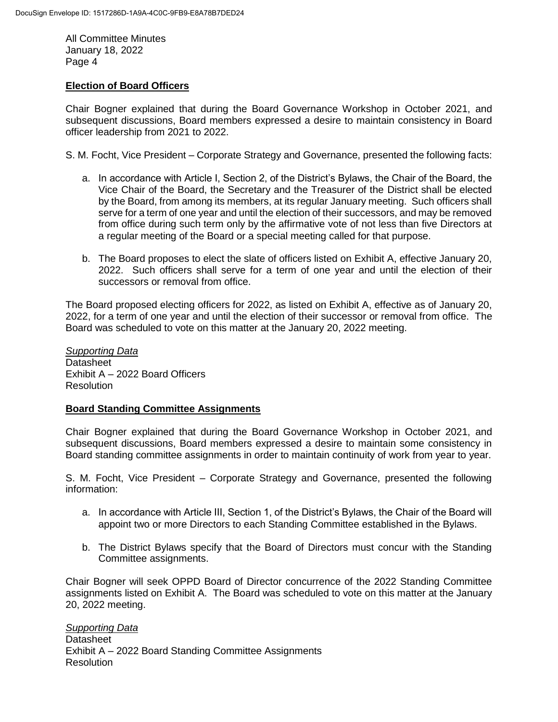#### **Election of Board Officers**

Chair Bogner explained that during the Board Governance Workshop in October 2021, and subsequent discussions, Board members expressed a desire to maintain consistency in Board officer leadership from 2021 to 2022.

S. M. Focht, Vice President – Corporate Strategy and Governance, presented the following facts:

- a. In accordance with Article I, Section 2, of the District's Bylaws, the Chair of the Board, the Vice Chair of the Board, the Secretary and the Treasurer of the District shall be elected by the Board, from among its members, at its regular January meeting. Such officers shall serve for a term of one year and until the election of their successors, and may be removed from office during such term only by the affirmative vote of not less than five Directors at a regular meeting of the Board or a special meeting called for that purpose.
- b. The Board proposes to elect the slate of officers listed on Exhibit A, effective January 20, 2022. Such officers shall serve for a term of one year and until the election of their successors or removal from office.

The Board proposed electing officers for 2022, as listed on Exhibit A, effective as of January 20, 2022, for a term of one year and until the election of their successor or removal from office. The Board was scheduled to vote on this matter at the January 20, 2022 meeting.

*Supporting Data* **Datasheet** Exhibit A – 2022 Board Officers **Resolution** 

#### **Board Standing Committee Assignments**

Chair Bogner explained that during the Board Governance Workshop in October 2021, and subsequent discussions, Board members expressed a desire to maintain some consistency in Board standing committee assignments in order to maintain continuity of work from year to year.

S. M. Focht, Vice President – Corporate Strategy and Governance, presented the following information:

- a. In accordance with Article III, Section 1, of the District's Bylaws, the Chair of the Board will appoint two or more Directors to each Standing Committee established in the Bylaws.
- b. The District Bylaws specify that the Board of Directors must concur with the Standing Committee assignments.

Chair Bogner will seek OPPD Board of Director concurrence of the 2022 Standing Committee assignments listed on Exhibit A. The Board was scheduled to vote on this matter at the January 20, 2022 meeting.

*Supporting Data* **Datasheet** Exhibit A – 2022 Board Standing Committee Assignments **Resolution**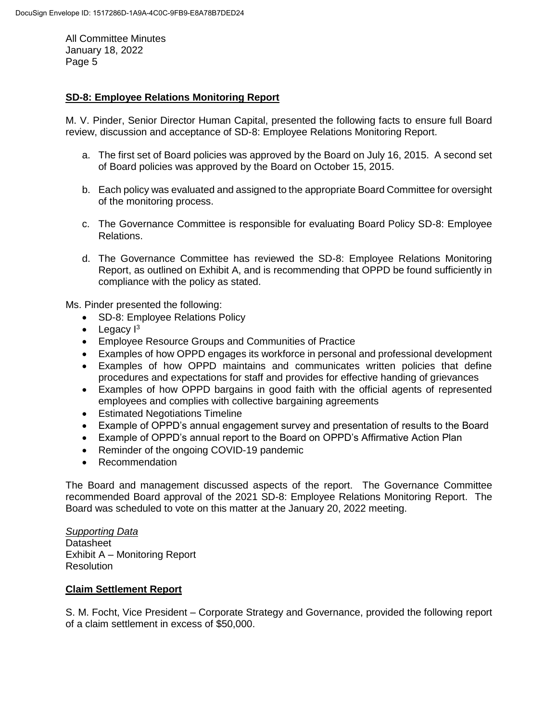# **SD-8: Employee Relations Monitoring Report**

M. V. Pinder, Senior Director Human Capital, presented the following facts to ensure full Board review, discussion and acceptance of SD-8: Employee Relations Monitoring Report.

- a. The first set of Board policies was approved by the Board on July 16, 2015. A second set of Board policies was approved by the Board on October 15, 2015.
- b. Each policy was evaluated and assigned to the appropriate Board Committee for oversight of the monitoring process.
- c. The Governance Committee is responsible for evaluating Board Policy SD-8: Employee Relations.
- d. The Governance Committee has reviewed the SD-8: Employee Relations Monitoring Report, as outlined on Exhibit A, and is recommending that OPPD be found sufficiently in compliance with the policy as stated.

Ms. Pinder presented the following:

- SD-8: Employee Relations Policy
- Legacy  $I^3$
- Employee Resource Groups and Communities of Practice
- Examples of how OPPD engages its workforce in personal and professional development
- Examples of how OPPD maintains and communicates written policies that define procedures and expectations for staff and provides for effective handing of grievances
- Examples of how OPPD bargains in good faith with the official agents of represented employees and complies with collective bargaining agreements
- Estimated Negotiations Timeline
- Example of OPPD's annual engagement survey and presentation of results to the Board
- Example of OPPD's annual report to the Board on OPPD's Affirmative Action Plan
- Reminder of the ongoing COVID-19 pandemic
- Recommendation

The Board and management discussed aspects of the report. The Governance Committee recommended Board approval of the 2021 SD-8: Employee Relations Monitoring Report. The Board was scheduled to vote on this matter at the January 20, 2022 meeting.

## *Supporting Data* **Datasheet** Exhibit A – Monitoring Report **Resolution**

# **Claim Settlement Report**

S. M. Focht, Vice President – Corporate Strategy and Governance, provided the following report of a claim settlement in excess of \$50,000.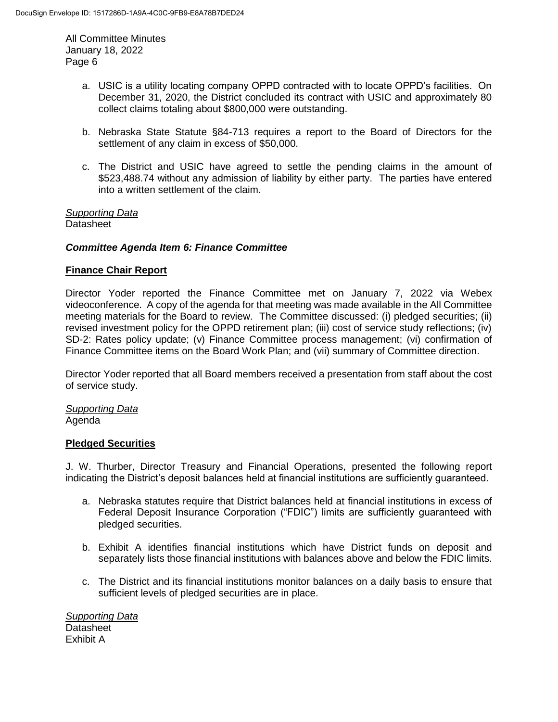- a. USIC is a utility locating company OPPD contracted with to locate OPPD's facilities. On December 31, 2020, the District concluded its contract with USIC and approximately 80 collect claims totaling about \$800,000 were outstanding.
- b. Nebraska State Statute §84-713 requires a report to the Board of Directors for the settlement of any claim in excess of \$50,000.
- c. The District and USIC have agreed to settle the pending claims in the amount of \$523,488.74 without any admission of liability by either party. The parties have entered into a written settlement of the claim.

*Supporting Data* **Datasheet** 

#### *Committee Agenda Item 6: Finance Committee*

#### **Finance Chair Report**

Director Yoder reported the Finance Committee met on January 7, 2022 via Webex videoconference. A copy of the agenda for that meeting was made available in the All Committee meeting materials for the Board to review. The Committee discussed: (i) pledged securities; (ii) revised investment policy for the OPPD retirement plan; (iii) cost of service study reflections; (iv) SD-2: Rates policy update; (v) Finance Committee process management; (vi) confirmation of Finance Committee items on the Board Work Plan; and (vii) summary of Committee direction.

Director Yoder reported that all Board members received a presentation from staff about the cost of service study.

*Supporting Data* Agenda

#### **Pledged Securities**

J. W. Thurber, Director Treasury and Financial Operations, presented the following report indicating the District's deposit balances held at financial institutions are sufficiently guaranteed.

- a. Nebraska statutes require that District balances held at financial institutions in excess of Federal Deposit Insurance Corporation ("FDIC") limits are sufficiently guaranteed with pledged securities.
- b. Exhibit A identifies financial institutions which have District funds on deposit and separately lists those financial institutions with balances above and below the FDIC limits.
- c. The District and its financial institutions monitor balances on a daily basis to ensure that sufficient levels of pledged securities are in place.

*Supporting Data* **Datasheet** Exhibit A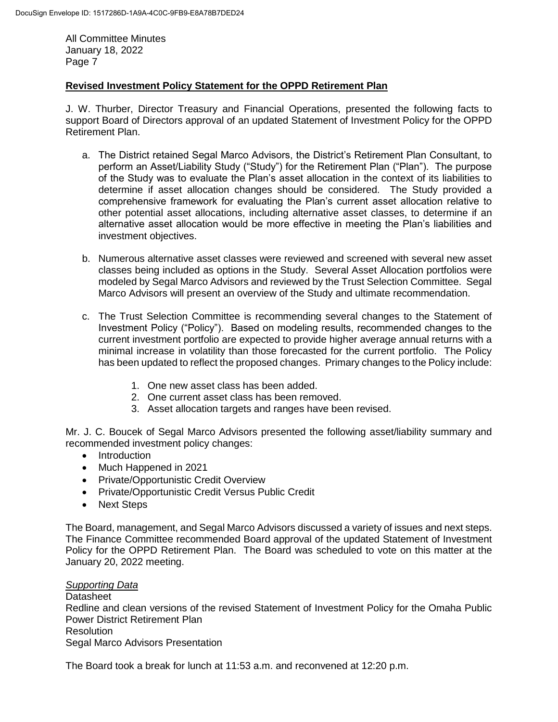# **Revised Investment Policy Statement for the OPPD Retirement Plan**

J. W. Thurber, Director Treasury and Financial Operations, presented the following facts to support Board of Directors approval of an updated Statement of Investment Policy for the OPPD Retirement Plan.

- a. The District retained Segal Marco Advisors, the District's Retirement Plan Consultant, to perform an Asset/Liability Study ("Study") for the Retirement Plan ("Plan"). The purpose of the Study was to evaluate the Plan's asset allocation in the context of its liabilities to determine if asset allocation changes should be considered. The Study provided a comprehensive framework for evaluating the Plan's current asset allocation relative to other potential asset allocations, including alternative asset classes, to determine if an alternative asset allocation would be more effective in meeting the Plan's liabilities and investment objectives.
- b. Numerous alternative asset classes were reviewed and screened with several new asset classes being included as options in the Study. Several Asset Allocation portfolios were modeled by Segal Marco Advisors and reviewed by the Trust Selection Committee. Segal Marco Advisors will present an overview of the Study and ultimate recommendation.
- c. The Trust Selection Committee is recommending several changes to the Statement of Investment Policy ("Policy"). Based on modeling results, recommended changes to the current investment portfolio are expected to provide higher average annual returns with a minimal increase in volatility than those forecasted for the current portfolio. The Policy has been updated to reflect the proposed changes. Primary changes to the Policy include:
	- 1. One new asset class has been added.
	- 2. One current asset class has been removed.
	- 3. Asset allocation targets and ranges have been revised.

Mr. J. C. Boucek of Segal Marco Advisors presented the following asset/liability summary and recommended investment policy changes:

- Introduction
- Much Happened in 2021
- Private/Opportunistic Credit Overview
- Private/Opportunistic Credit Versus Public Credit
- Next Steps

The Board, management, and Segal Marco Advisors discussed a variety of issues and next steps. The Finance Committee recommended Board approval of the updated Statement of Investment Policy for the OPPD Retirement Plan. The Board was scheduled to vote on this matter at the January 20, 2022 meeting.

## *Supporting Data*

**Datasheet** Redline and clean versions of the revised Statement of Investment Policy for the Omaha Public Power District Retirement Plan Resolution Segal Marco Advisors Presentation

The Board took a break for lunch at 11:53 a.m. and reconvened at 12:20 p.m.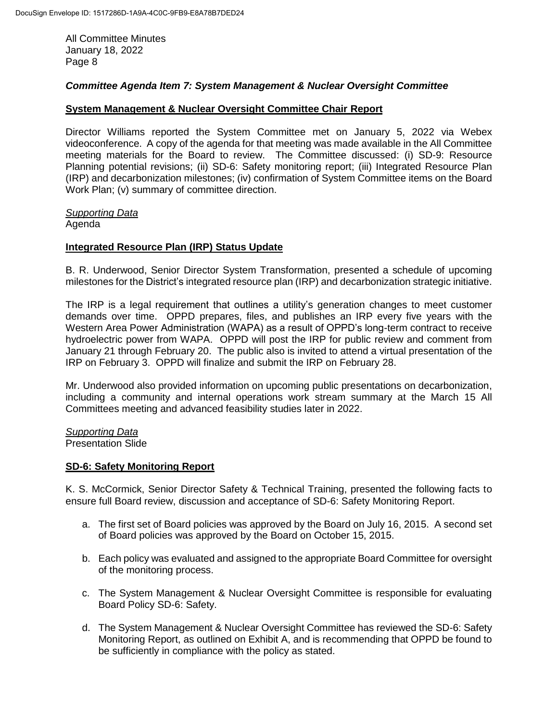## *Committee Agenda Item 7: System Management & Nuclear Oversight Committee*

## **System Management & Nuclear Oversight Committee Chair Report**

Director Williams reported the System Committee met on January 5, 2022 via Webex videoconference. A copy of the agenda for that meeting was made available in the All Committee meeting materials for the Board to review. The Committee discussed: (i) SD-9: Resource Planning potential revisions; (ii) SD-6: Safety monitoring report; (iii) Integrated Resource Plan (IRP) and decarbonization milestones; (iv) confirmation of System Committee items on the Board Work Plan; (v) summary of committee direction.

#### *Supporting Data*

Agenda

### **Integrated Resource Plan (IRP) Status Update**

B. R. Underwood, Senior Director System Transformation, presented a schedule of upcoming milestones for the District's integrated resource plan (IRP) and decarbonization strategic initiative.

The IRP is a legal requirement that outlines a utility's generation changes to meet customer demands over time. OPPD prepares, files, and publishes an IRP every five years with the Western Area Power Administration (WAPA) as a result of OPPD's long-term contract to receive hydroelectric power from WAPA. OPPD will post the IRP for public review and comment from January 21 through February 20. The public also is invited to attend a virtual presentation of the IRP on February 3. OPPD will finalize and submit the IRP on February 28.

Mr. Underwood also provided information on upcoming public presentations on decarbonization, including a community and internal operations work stream summary at the March 15 All Committees meeting and advanced feasibility studies later in 2022.

*Supporting Data* Presentation Slide

#### **SD-6: Safety Monitoring Report**

K. S. McCormick, Senior Director Safety & Technical Training, presented the following facts to ensure full Board review, discussion and acceptance of SD-6: Safety Monitoring Report.

- a. The first set of Board policies was approved by the Board on July 16, 2015. A second set of Board policies was approved by the Board on October 15, 2015.
- b. Each policy was evaluated and assigned to the appropriate Board Committee for oversight of the monitoring process.
- c. The System Management & Nuclear Oversight Committee is responsible for evaluating Board Policy SD-6: Safety.
- d. The System Management & Nuclear Oversight Committee has reviewed the SD-6: Safety Monitoring Report, as outlined on Exhibit A, and is recommending that OPPD be found to be sufficiently in compliance with the policy as stated.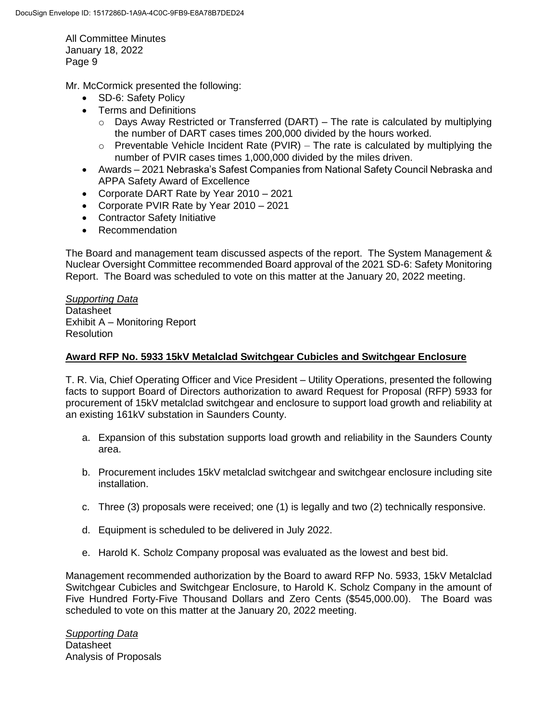Mr. McCormick presented the following:

- SD-6: Safety Policy
- Terms and Definitions
	- $\circ$  Days Away Restricted or Transferred (DART) The rate is calculated by multiplying the number of DART cases times 200,000 divided by the hours worked.
	- $\circ$  Preventable Vehicle Incident Rate (PVIR) The rate is calculated by multiplying the number of PVIR cases times 1,000,000 divided by the miles driven.
- Awards 2021 Nebraska's Safest Companies from National Safety Council Nebraska and APPA Safety Award of Excellence
- Corporate DART Rate by Year 2010 2021
- Corporate PVIR Rate by Year 2010 2021
- Contractor Safety Initiative
- Recommendation

The Board and management team discussed aspects of the report. The System Management & Nuclear Oversight Committee recommended Board approval of the 2021 SD-6: Safety Monitoring Report. The Board was scheduled to vote on this matter at the January 20, 2022 meeting.

*Supporting Data* **Datasheet** Exhibit A – Monitoring Report **Resolution** 

# **Award RFP No. 5933 15kV Metalclad Switchgear Cubicles and Switchgear Enclosure**

T. R. Via, Chief Operating Officer and Vice President – Utility Operations, presented the following facts to support Board of Directors authorization to award Request for Proposal (RFP) 5933 for procurement of 15kV metalclad switchgear and enclosure to support load growth and reliability at an existing 161kV substation in Saunders County.

- a. Expansion of this substation supports load growth and reliability in the Saunders County area.
- b. Procurement includes 15kV metalclad switchgear and switchgear enclosure including site installation.
- c. Three (3) proposals were received; one (1) is legally and two (2) technically responsive.
- d. Equipment is scheduled to be delivered in July 2022.
- e. Harold K. Scholz Company proposal was evaluated as the lowest and best bid.

Management recommended authorization by the Board to award RFP No. 5933, 15kV Metalclad Switchgear Cubicles and Switchgear Enclosure, to Harold K. Scholz Company in the amount of Five Hundred Forty-Five Thousand Dollars and Zero Cents (\$545,000.00). The Board was scheduled to vote on this matter at the January 20, 2022 meeting.

*Supporting Data* **Datasheet** Analysis of Proposals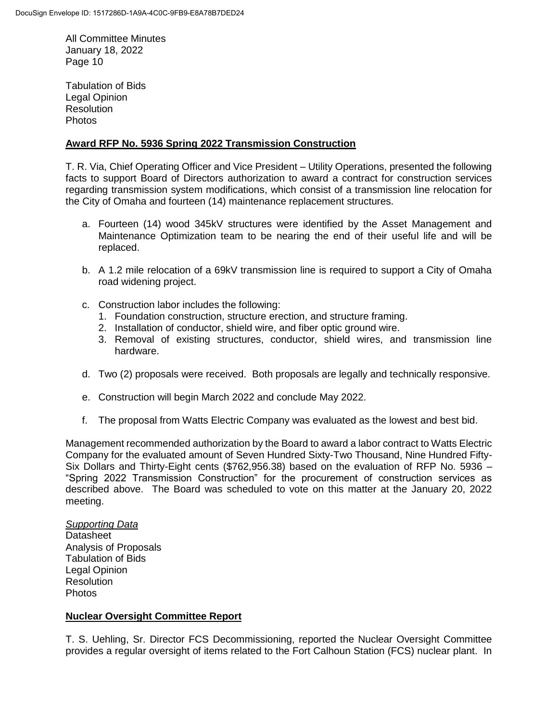Tabulation of Bids Legal Opinion **Resolution** Photos

#### **Award RFP No. 5936 Spring 2022 Transmission Construction**

T. R. Via, Chief Operating Officer and Vice President – Utility Operations, presented the following facts to support Board of Directors authorization to award a contract for construction services regarding transmission system modifications, which consist of a transmission line relocation for the City of Omaha and fourteen (14) maintenance replacement structures.

- a. Fourteen (14) wood 345kV structures were identified by the Asset Management and Maintenance Optimization team to be nearing the end of their useful life and will be replaced.
- b. A 1.2 mile relocation of a 69kV transmission line is required to support a City of Omaha road widening project.
- c. Construction labor includes the following:
	- 1. Foundation construction, structure erection, and structure framing.
	- 2. Installation of conductor, shield wire, and fiber optic ground wire.
	- 3. Removal of existing structures, conductor, shield wires, and transmission line hardware.
- d. Two (2) proposals were received. Both proposals are legally and technically responsive.
- e. Construction will begin March 2022 and conclude May 2022.
- f. The proposal from Watts Electric Company was evaluated as the lowest and best bid.

Management recommended authorization by the Board to award a labor contract to Watts Electric Company for the evaluated amount of Seven Hundred Sixty-Two Thousand, Nine Hundred Fifty-Six Dollars and Thirty-Eight cents (\$762,956.38) based on the evaluation of RFP No. 5936 – "Spring 2022 Transmission Construction" for the procurement of construction services as described above. The Board was scheduled to vote on this matter at the January 20, 2022 meeting.

*Supporting Data* **Datasheet** Analysis of Proposals Tabulation of Bids Legal Opinion **Resolution** Photos

#### **Nuclear Oversight Committee Report**

T. S. Uehling, Sr. Director FCS Decommissioning, reported the Nuclear Oversight Committee provides a regular oversight of items related to the Fort Calhoun Station (FCS) nuclear plant. In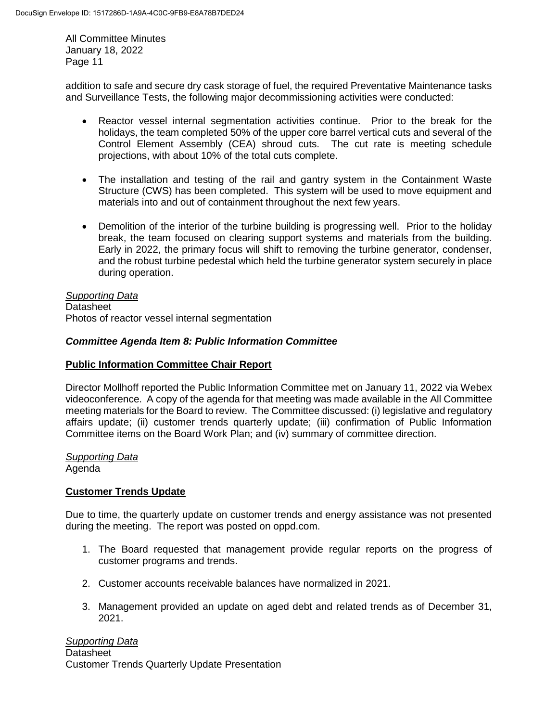addition to safe and secure dry cask storage of fuel, the required Preventative Maintenance tasks and Surveillance Tests, the following major decommissioning activities were conducted:

- Reactor vessel internal segmentation activities continue. Prior to the break for the holidays, the team completed 50% of the upper core barrel vertical cuts and several of the Control Element Assembly (CEA) shroud cuts. The cut rate is meeting schedule projections, with about 10% of the total cuts complete.
- The installation and testing of the rail and gantry system in the Containment Waste Structure (CWS) has been completed. This system will be used to move equipment and materials into and out of containment throughout the next few years.
- Demolition of the interior of the turbine building is progressing well. Prior to the holiday break, the team focused on clearing support systems and materials from the building. Early in 2022, the primary focus will shift to removing the turbine generator, condenser, and the robust turbine pedestal which held the turbine generator system securely in place during operation.

# *Supporting Data*

Datasheet Photos of reactor vessel internal segmentation

# *Committee Agenda Item 8: Public Information Committee*

## **Public Information Committee Chair Report**

Director Mollhoff reported the Public Information Committee met on January 11, 2022 via Webex videoconference. A copy of the agenda for that meeting was made available in the All Committee meeting materials for the Board to review. The Committee discussed: (i) legislative and regulatory affairs update; (ii) customer trends quarterly update; (iii) confirmation of Public Information Committee items on the Board Work Plan; and (iv) summary of committee direction.

#### *Supporting Data* Agenda

# **Customer Trends Update**

Due to time, the quarterly update on customer trends and energy assistance was not presented during the meeting. The report was posted on oppd.com.

- 1. The Board requested that management provide regular reports on the progress of customer programs and trends.
- 2. Customer accounts receivable balances have normalized in 2021.
- 3. Management provided an update on aged debt and related trends as of December 31, 2021.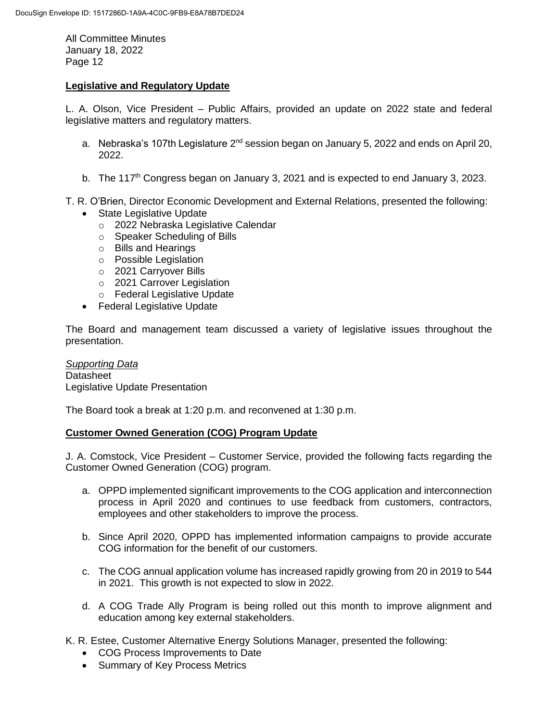## **Legislative and Regulatory Update**

L. A. Olson, Vice President – Public Affairs, provided an update on 2022 state and federal legislative matters and regulatory matters.

- a. Nebraska's 107th Legislature 2<sup>nd</sup> session began on January 5, 2022 and ends on April 20, 2022.
- b. The 117<sup>th</sup> Congress began on January 3, 2021 and is expected to end January 3, 2023.
- T. R. O'Brien, Director Economic Development and External Relations, presented the following:
	- State Legislative Update
		- o 2022 Nebraska Legislative Calendar
		- o Speaker Scheduling of Bills
		- o Bills and Hearings
		- o Possible Legislation
		- o 2021 Carryover Bills
		- o 2021 Carrover Legislation
		- o Federal Legislative Update
	- Federal Legislative Update

The Board and management team discussed a variety of legislative issues throughout the presentation.

*Supporting Data* **Datasheet** Legislative Update Presentation

The Board took a break at 1:20 p.m. and reconvened at 1:30 p.m.

#### **Customer Owned Generation (COG) Program Update**

J. A. Comstock, Vice President – Customer Service, provided the following facts regarding the Customer Owned Generation (COG) program.

- a. OPPD implemented significant improvements to the COG application and interconnection process in April 2020 and continues to use feedback from customers, contractors, employees and other stakeholders to improve the process.
- b. Since April 2020, OPPD has implemented information campaigns to provide accurate COG information for the benefit of our customers.
- c. The COG annual application volume has increased rapidly growing from 20 in 2019 to 544 in 2021. This growth is not expected to slow in 2022.
- d. A COG Trade Ally Program is being rolled out this month to improve alignment and education among key external stakeholders.

K. R. Estee, Customer Alternative Energy Solutions Manager, presented the following:

- COG Process Improvements to Date
- Summary of Key Process Metrics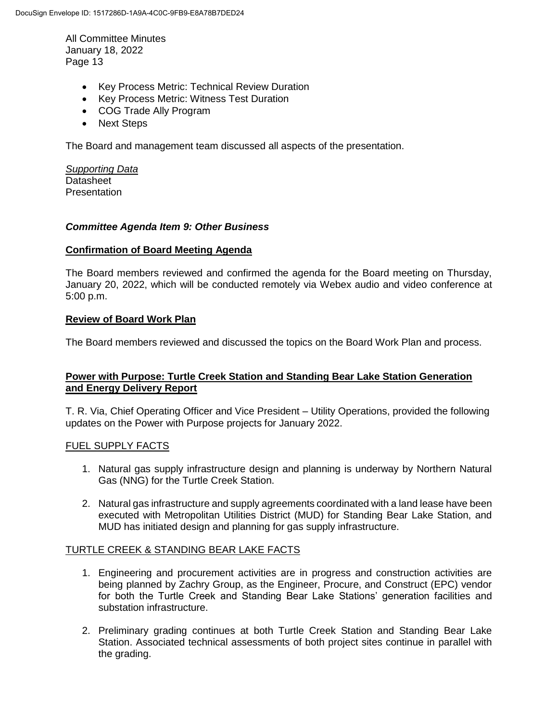- Key Process Metric: Technical Review Duration
- Key Process Metric: Witness Test Duration
- COG Trade Ally Program
- Next Steps

The Board and management team discussed all aspects of the presentation.

*Supporting Data* **Datasheet Presentation** 

#### *Committee Agenda Item 9: Other Business*

#### **Confirmation of Board Meeting Agenda**

The Board members reviewed and confirmed the agenda for the Board meeting on Thursday, January 20, 2022, which will be conducted remotely via Webex audio and video conference at 5:00 p.m.

#### **Review of Board Work Plan**

The Board members reviewed and discussed the topics on the Board Work Plan and process.

### **Power with Purpose: Turtle Creek Station and Standing Bear Lake Station Generation and Energy Delivery Report**

T. R. Via, Chief Operating Officer and Vice President – Utility Operations, provided the following updates on the Power with Purpose projects for January 2022.

### FUEL SUPPLY FACTS

- 1. Natural gas supply infrastructure design and planning is underway by Northern Natural Gas (NNG) for the Turtle Creek Station.
- 2. Natural gas infrastructure and supply agreements coordinated with a land lease have been executed with Metropolitan Utilities District (MUD) for Standing Bear Lake Station, and MUD has initiated design and planning for gas supply infrastructure.

#### TURTLE CREEK & STANDING BEAR LAKE FACTS

- 1. Engineering and procurement activities are in progress and construction activities are being planned by Zachry Group, as the Engineer, Procure, and Construct (EPC) vendor for both the Turtle Creek and Standing Bear Lake Stations' generation facilities and substation infrastructure.
- 2. Preliminary grading continues at both Turtle Creek Station and Standing Bear Lake Station. Associated technical assessments of both project sites continue in parallel with the grading.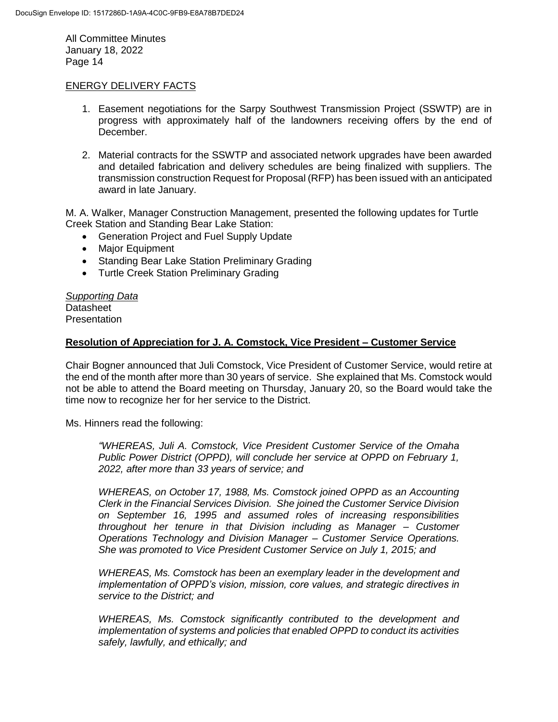#### ENERGY DELIVERY FACTS

- 1. Easement negotiations for the Sarpy Southwest Transmission Project (SSWTP) are in progress with approximately half of the landowners receiving offers by the end of December.
- 2. Material contracts for the SSWTP and associated network upgrades have been awarded and detailed fabrication and delivery schedules are being finalized with suppliers. The transmission construction Request for Proposal (RFP) has been issued with an anticipated award in late January.

M. A. Walker, Manager Construction Management, presented the following updates for Turtle Creek Station and Standing Bear Lake Station:

- Generation Project and Fuel Supply Update
- Major Equipment
- Standing Bear Lake Station Preliminary Grading
- Turtle Creek Station Preliminary Grading

*Supporting Data* **Datasheet Presentation** 

### **Resolution of Appreciation for J. A. Comstock, Vice President – Customer Service**

Chair Bogner announced that Juli Comstock, Vice President of Customer Service, would retire at the end of the month after more than 30 years of service. She explained that Ms. Comstock would not be able to attend the Board meeting on Thursday, January 20, so the Board would take the time now to recognize her for her service to the District.

Ms. Hinners read the following:

*"WHEREAS, Juli A. Comstock, Vice President Customer Service of the Omaha Public Power District (OPPD), will conclude her service at OPPD on February 1, 2022, after more than 33 years of service; and*

*WHEREAS, on October 17, 1988, Ms. Comstock joined OPPD as an Accounting Clerk in the Financial Services Division. She joined the Customer Service Division on September 16, 1995 and assumed roles of increasing responsibilities throughout her tenure in that Division including as Manager – Customer Operations Technology and Division Manager – Customer Service Operations. She was promoted to Vice President Customer Service on July 1, 2015; and*

*WHEREAS, Ms. Comstock has been an exemplary leader in the development and implementation of OPPD's vision, mission, core values, and strategic directives in service to the District; and*

*WHEREAS, Ms. Comstock significantly contributed to the development and implementation of systems and policies that enabled OPPD to conduct its activities safely, lawfully, and ethically; and*